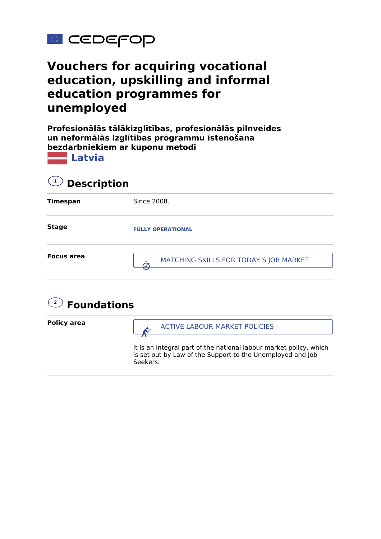

## **Vouchers for acquiring vocational education, upskilling and informal education programmes for unemployed**

**Profesionālās tālākizglītības, profesionālās pilnveides un neformālās izglītības programmu īstenošana bezdarbniekiem ar kuponu metodi**



| $\bigcirc$ Description |                                                            |  |
|------------------------|------------------------------------------------------------|--|
| <b>Timespan</b>        | Since 2008.                                                |  |
| <b>Stage</b>           | <b>FULLY OPERATIONAL</b>                                   |  |
| <b>Focus area</b>      | MATCHING SKILLS FOR TODAY'S JOB MARKET<br>$\boldsymbol{I}$ |  |
|                        |                                                            |  |

## **2 Foundations**

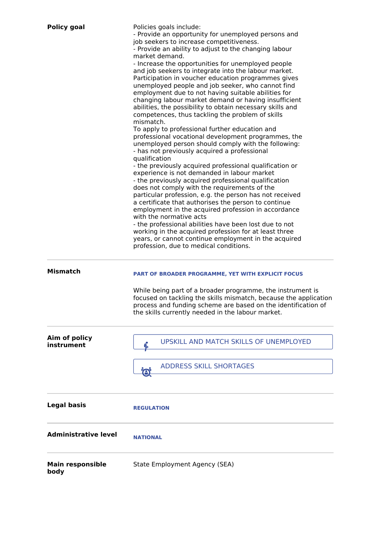| <b>Policy goal</b>              | Policies goals include:<br>- Provide an opportunity for unemployed persons and<br>job seekers to increase competitiveness.<br>- Provide an ability to adjust to the changing labour<br>market demand.<br>- Increase the opportunities for unemployed people<br>and job seekers to integrate into the labour market.<br>Participation in voucher education programmes gives<br>unemployed people and job seeker, who cannot find<br>employment due to not having suitable abilities for<br>changing labour market demand or having insufficient<br>abilities, the possibility to obtain necessary skills and<br>competences, thus tackling the problem of skills<br>mismatch.<br>To apply to professional further education and<br>professional vocational development programmes, the<br>unemployed person should comply with the following:<br>- has not previously acquired a professional<br>qualification<br>- the previously acquired professional qualification or<br>experience is not demanded in labour market<br>- the previously acquired professional qualification<br>does not comply with the requirements of the<br>particular profession, e.g. the person has not received<br>a certificate that authorises the person to continue<br>employment in the acquired profession in accordance<br>with the normative acts<br>- the professional abilities have been lost due to not<br>working in the acquired profession for at least three<br>years, or cannot continue employment in the acquired<br>profession, due to medical conditions. |
|---------------------------------|-----------------------------------------------------------------------------------------------------------------------------------------------------------------------------------------------------------------------------------------------------------------------------------------------------------------------------------------------------------------------------------------------------------------------------------------------------------------------------------------------------------------------------------------------------------------------------------------------------------------------------------------------------------------------------------------------------------------------------------------------------------------------------------------------------------------------------------------------------------------------------------------------------------------------------------------------------------------------------------------------------------------------------------------------------------------------------------------------------------------------------------------------------------------------------------------------------------------------------------------------------------------------------------------------------------------------------------------------------------------------------------------------------------------------------------------------------------------------------------------------------------------------------------------------------------|
| <b>Mismatch</b>                 | PART OF BROADER PROGRAMME, YET WITH EXPLICIT FOCUS<br>While being part of a broader programme, the instrument is<br>focused on tackling the skills mismatch, because the application<br>process and funding scheme are based on the identification of<br>the skills currently needed in the labour market.                                                                                                                                                                                                                                                                                                                                                                                                                                                                                                                                                                                                                                                                                                                                                                                                                                                                                                                                                                                                                                                                                                                                                                                                                                                |
| Aim of policy<br>instrument     | UPSKILL AND MATCH SKILLS OF UNEMPLOYED<br><b>ADDRESS SKILL SHORTAGES</b><br>$\left( \Theta \right)$                                                                                                                                                                                                                                                                                                                                                                                                                                                                                                                                                                                                                                                                                                                                                                                                                                                                                                                                                                                                                                                                                                                                                                                                                                                                                                                                                                                                                                                       |
| <b>Legal basis</b>              | <b>REGULATION</b>                                                                                                                                                                                                                                                                                                                                                                                                                                                                                                                                                                                                                                                                                                                                                                                                                                                                                                                                                                                                                                                                                                                                                                                                                                                                                                                                                                                                                                                                                                                                         |
| <b>Administrative level</b>     | <b>NATIONAL</b>                                                                                                                                                                                                                                                                                                                                                                                                                                                                                                                                                                                                                                                                                                                                                                                                                                                                                                                                                                                                                                                                                                                                                                                                                                                                                                                                                                                                                                                                                                                                           |
| <b>Main responsible</b><br>body | State Employment Agency (SEA)                                                                                                                                                                                                                                                                                                                                                                                                                                                                                                                                                                                                                                                                                                                                                                                                                                                                                                                                                                                                                                                                                                                                                                                                                                                                                                                                                                                                                                                                                                                             |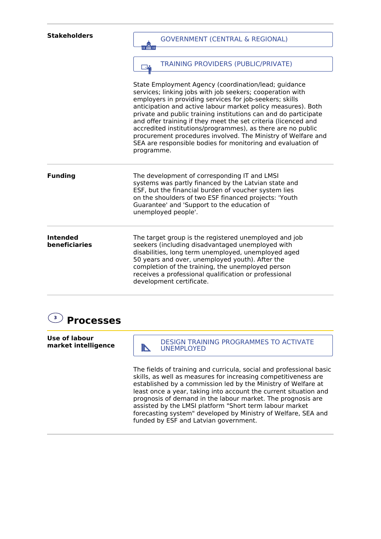| <b>Stakeholders</b>              | <b>GOVERNMENT (CENTRAL &amp; REGIONAL)</b>                                                                                                                                                                                                                                                                                                                                                                                                                                                                                                                                                    |
|----------------------------------|-----------------------------------------------------------------------------------------------------------------------------------------------------------------------------------------------------------------------------------------------------------------------------------------------------------------------------------------------------------------------------------------------------------------------------------------------------------------------------------------------------------------------------------------------------------------------------------------------|
|                                  | ii îm ii                                                                                                                                                                                                                                                                                                                                                                                                                                                                                                                                                                                      |
|                                  | <b>TRAINING PROVIDERS (PUBLIC/PRIVATE)</b><br><u> J.</u>                                                                                                                                                                                                                                                                                                                                                                                                                                                                                                                                      |
|                                  | State Employment Agency (coordination/lead; guidance<br>services; linking jobs with job seekers; cooperation with<br>employers in providing services for job-seekers; skills<br>anticipation and active labour market policy measures). Both<br>private and public training institutions can and do participate<br>and offer training if they meet the set criteria (licenced and<br>accredited institutions/programmes), as there are no public<br>procurement procedures involved. The Ministry of Welfare and<br>SEA are responsible bodies for monitoring and evaluation of<br>programme. |
| <b>Funding</b>                   | The development of corresponding IT and LMSI<br>systems was partly financed by the Latvian state and<br>ESF, but the financial burden of voucher system lies<br>on the shoulders of two ESF financed projects: 'Youth<br>Guarantee' and 'Support to the education of<br>unemployed people'.                                                                                                                                                                                                                                                                                                   |
| <b>Intended</b><br>beneficiaries | The target group is the registered unemployed and job<br>seekers (including disadvantaged unemployed with<br>disabilities, long term unemployed, unemployed aged<br>50 years and over, unemployed youth). After the<br>completion of the training, the unemployed person<br>receives a professional qualification or professional<br>development certificate.                                                                                                                                                                                                                                 |
|                                  |                                                                                                                                                                                                                                                                                                                                                                                                                                                                                                                                                                                               |



**Use of labour market intelligence**

DESIGN TRAINING PROGRAMMES TO ACTIVATE

The fields of training and curricula, social and professional basic skills, as well as measures for increasing competitiveness are established by a commission led by the Ministry of Welfare at least once a year, taking into account the current situation and prognosis of demand in the labour market. The prognosis are assisted by the LMSI platform "Short term labour market forecasting system" developed by Ministry of Welfare, SEA and funded by ESF and Latvian government.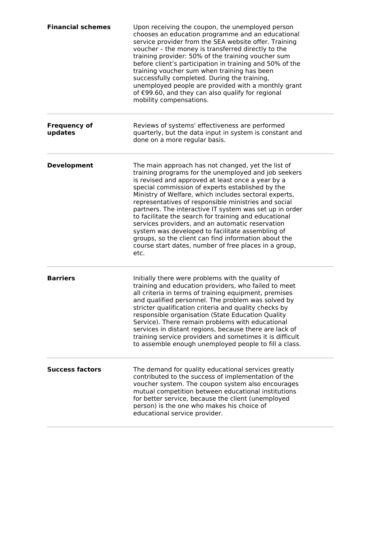| <b>Financial schemes</b>       | Upon receiving the coupon, the unemployed person<br>chooses an education programme and an educational<br>service provider from the SEA website offer. Training<br>voucher - the money is transferred directly to the<br>training provider: 50% of the training voucher sum<br>before client's participation in training and 50% of the<br>training voucher sum when training has been<br>successfully completed. During the training,<br>unemployed people are provided with a monthly grant<br>of €99.60, and they can also qualify for regional<br>mobility compensations.                                                                                                              |
|--------------------------------|-------------------------------------------------------------------------------------------------------------------------------------------------------------------------------------------------------------------------------------------------------------------------------------------------------------------------------------------------------------------------------------------------------------------------------------------------------------------------------------------------------------------------------------------------------------------------------------------------------------------------------------------------------------------------------------------|
| <b>Frequency of</b><br>updates | Reviews of systems' effectiveness are performed<br>quarterly, but the data input in system is constant and<br>done on a more regular basis.                                                                                                                                                                                                                                                                                                                                                                                                                                                                                                                                               |
| <b>Development</b>             | The main approach has not changed, yet the list of<br>training programs for the unemployed and job seekers<br>is revised and approved at least once a year by a<br>special commission of experts established by the<br>Ministry of Welfare, which includes sectoral experts,<br>representatives of responsible ministries and social<br>partners. The interactive IT system was set up in order<br>to facilitate the search for training and educational<br>services providers, and an automatic reservation<br>system was developed to facilitate assembling of<br>groups, so the client can find information about the<br>course start dates, number of free places in a group,<br>etc. |
| <b>Barriers</b>                | Initially there were problems with the quality of<br>training and education providers, who failed to meet<br>all criteria in terms of training equipment, premises<br>and qualified personnel. The problem was solved by<br>stricter qualification criteria and quality checks by<br>responsible organisation (State Education Quality<br>Service). There remain problems with educational<br>services in distant regions, because there are lack of<br>training service providers and sometimes it is difficult<br>to assemble enough unemployed people to fill a class.                                                                                                                 |
| <b>Success factors</b>         | The demand for quality educational services greatly<br>contributed to the success of implementation of the<br>voucher system. The coupon system also encourages<br>mutual competition between educational institutions<br>for better service, because the client (unemployed<br>person) is the one who makes his choice of<br>educational service provider.                                                                                                                                                                                                                                                                                                                               |